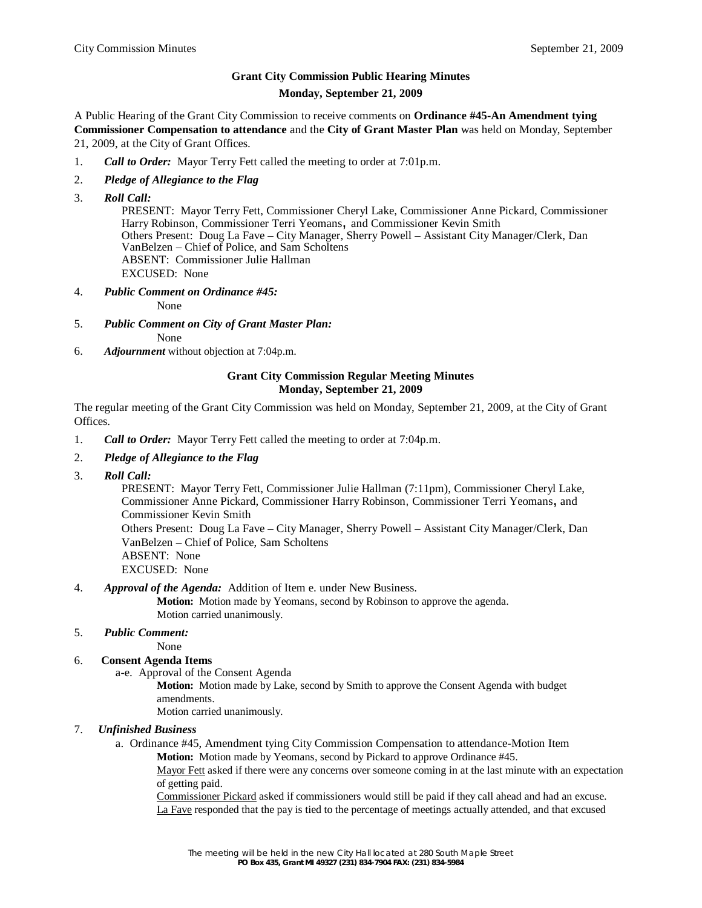# **Grant City Commission Public Hearing Minutes Monday, September 21, 2009**

A Public Hearing of the Grant City Commission to receive comments on **Ordinance #45-An Amendment tying Commissioner Compensation to attendance** and the **City of Grant Master Plan** was held on Monday, September 21, 2009, at the City of Grant Offices.

- 1. *Call to Order:* Mayor Terry Fett called the meeting to order at 7:01p.m.
- 2. *Pledge of Allegiance to the Flag*
- 3. *Roll Call:*

 PRESENT: Mayor Terry Fett, Commissioner Cheryl Lake, Commissioner Anne Pickard, Commissioner Harry Robinson, Commissioner Terri Yeomans, and Commissioner Kevin Smith Others Present: Doug La Fave – City Manager, Sherry Powell – Assistant City Manager/Clerk, Dan VanBelzen – Chief of Police, and Sam Scholtens ABSENT: Commissioner Julie Hallman EXCUSED: None

4. *Public Comment on Ordinance #45:*

None

5. *Public Comment on City of Grant Master Plan:*

None

6. *Adjournment* without objection at 7:04p.m.

## **Grant City Commission Regular Meeting Minutes Monday, September 21, 2009**

The regular meeting of the Grant City Commission was held on Monday, September 21, 2009, at the City of Grant Offices.

- 1. *Call to Order:* Mayor Terry Fett called the meeting to order at 7:04p.m.
- 2. *Pledge of Allegiance to the Flag*
- 3. *Roll Call:*

 PRESENT: Mayor Terry Fett, Commissioner Julie Hallman (7:11pm), Commissioner Cheryl Lake, Commissioner Anne Pickard, Commissioner Harry Robinson, Commissioner Terri Yeomans, and Commissioner Kevin Smith

 Others Present: Doug La Fave – City Manager, Sherry Powell – Assistant City Manager/Clerk, Dan VanBelzen – Chief of Police, Sam Scholtens

- ABSENT: None
- EXCUSED: None
- 4. *Approval of the Agenda:* Addition of Item e. under New Business.

**Motion:** Motion made by Yeomans, second by Robinson to approve the agenda. Motion carried unanimously.

### 5. *Public Comment:*

None

### 6. **Consent Agenda Items**

a-e. Approval of the Consent Agenda

**Motion:** Motion made by Lake, second by Smith to approve the Consent Agenda with budget amendments.

Motion carried unanimously.

### 7. *Unfinished Business*

a. Ordinance #45, Amendment tying City Commission Compensation to attendance-Motion Item **Motion:** Motion made by Yeomans, second by Pickard to approve Ordinance #45.

Mayor Fett asked if there were any concerns over someone coming in at the last minute with an expectation of getting paid.

Commissioner Pickard asked if commissioners would still be paid if they call ahead and had an excuse. La Fave responded that the pay is tied to the percentage of meetings actually attended, and that excused